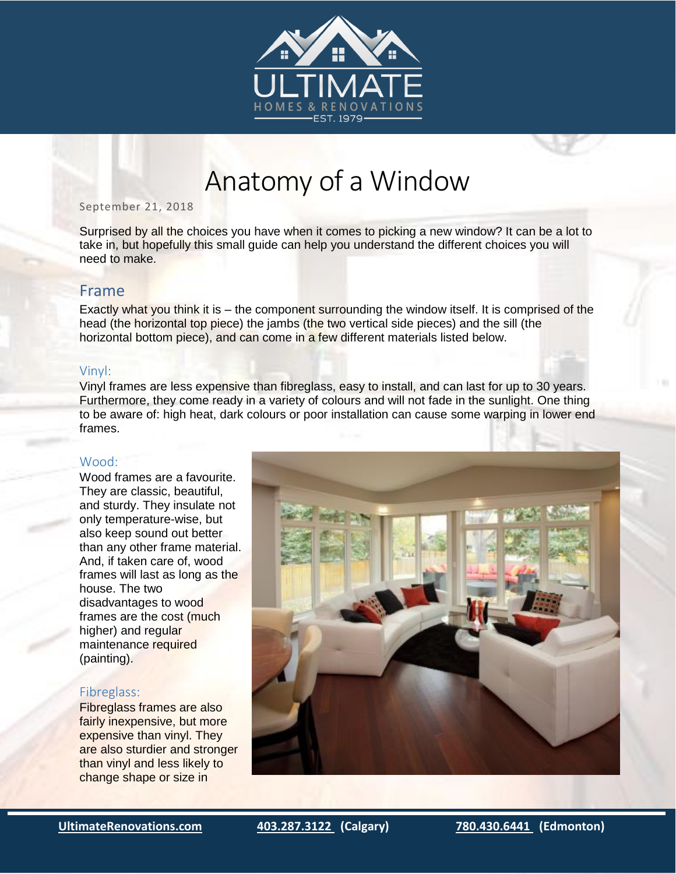



#### September 21, 2018

Surprised by all the choices you have when it comes to picking a new window? It can be a lot to take in, but hopefully this small guide can help you understand the different choices you will need to make.

# Frame

Exactly what you think it is – the component surrounding the window itself. It is comprised of the head (the horizontal top piece) the jambs (the two vertical side pieces) and the sill (the horizontal bottom piece), and can come in a few different materials listed below.

#### Vinyl:

Vinyl frames are less expensive than fibreglass, easy to install, and can last for up to 30 years. Furthermore, they come ready in a variety of colours and will not fade in the sunlight. One thing to be aware of: high heat, dark colours or poor installation can cause some warping in lower end frames.

## Wood:

Wood frames are a favourite. They are classic, beautiful, and sturdy. They insulate not only temperature-wise, but also keep sound out better than any other frame material. And, if taken care of, wood frames will last as long as the house. The two disadvantages to wood frames are the cost (much higher) and regular maintenance required (painting).

#### Fibreglass:

Fibreglass frames are also fairly inexpensive, but more expensive than vinyl. They are also sturdier and stronger than vinyl and less likely to change shape or size in



**[UltimateRenovations.com](https://www.ultimaterenovations.com/) [403.287.3122](tel:(403)287-3122) (Calgary) [780.430.6441](tel:(780)430-6441) (Edmonton)**